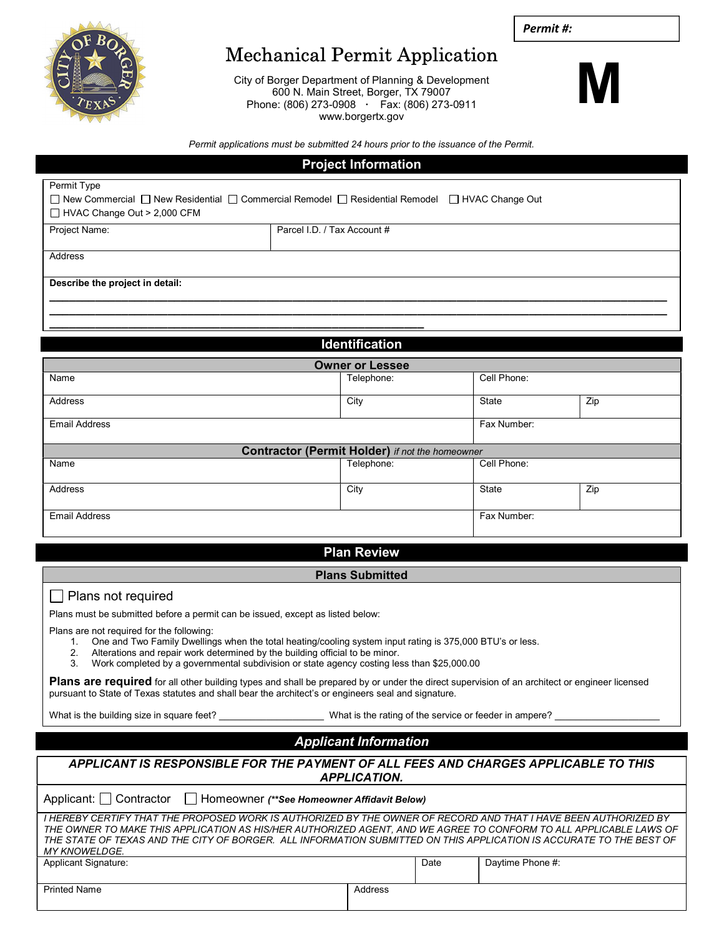Permit #:



# Mechanical Permit Application

City of Borger Department of Planning & Development 600 N. Main Street, Borger, TX 79007 Phone: (806) 273-0908 · Fax: (806) 273-0911 www.borgertx.gov



Permit applications must be submitted 24 hours prior to the issuance of the Permit.

### Project Information

| Permit Type                                                                                     |                             |  |  |  |  |  |  |
|-------------------------------------------------------------------------------------------------|-----------------------------|--|--|--|--|--|--|
| □ New Commercial □ New Residential □ Commercial Remodel □ Residential Remodel □ HVAC Change Out |                             |  |  |  |  |  |  |
| $\Box$ HVAC Change Out > 2,000 CFM                                                              |                             |  |  |  |  |  |  |
| Project Name:                                                                                   | Parcel I.D. / Tax Account # |  |  |  |  |  |  |
|                                                                                                 |                             |  |  |  |  |  |  |
| Address                                                                                         |                             |  |  |  |  |  |  |
|                                                                                                 |                             |  |  |  |  |  |  |
| Describe the project in detail:                                                                 |                             |  |  |  |  |  |  |
|                                                                                                 |                             |  |  |  |  |  |  |
|                                                                                                 |                             |  |  |  |  |  |  |
|                                                                                                 |                             |  |  |  |  |  |  |

## Identification

| <b>Owner or Lessee</b>                                 |             |              |     |  |  |  |  |
|--------------------------------------------------------|-------------|--------------|-----|--|--|--|--|
| Name                                                   | Telephone:  | Cell Phone:  |     |  |  |  |  |
| <b>Address</b>                                         | City        | Zip<br>State |     |  |  |  |  |
| <b>Email Address</b>                                   | Fax Number: |              |     |  |  |  |  |
| <b>Contractor (Permit Holder)</b> if not the homeowner |             |              |     |  |  |  |  |
| Name                                                   | Telephone:  | Cell Phone:  |     |  |  |  |  |
| <b>Address</b>                                         | City        | State        | Zip |  |  |  |  |
| <b>Email Address</b>                                   | Fax Number: |              |     |  |  |  |  |

### Plan Review

#### Plans Submitted

#### | Plans not required

Plans must be submitted before a permit can be issued, except as listed below:

Plans are not required for the following:

- 1. One and Two Family Dwellings when the total heating/cooling system input rating is 375,000 BTU's or less.
- 2. Alterations and repair work determined by the building official to be minor.
- 3. Work completed by a governmental subdivision or state agency costing less than \$25,000.00

Plans are required for all other building types and shall be prepared by or under the direct supervision of an architect or engineer licensed pursuant to State of Texas statutes and shall bear the architect's or engineers seal and signature.

What is the building size in square feet? \_\_\_\_\_\_\_\_\_\_\_\_\_\_\_\_\_\_\_\_ What is the rating of the service or feeder in ampere? \_\_\_\_\_\_\_\_\_\_\_\_\_\_\_\_\_\_\_\_

## Applicant Information

APPLICANT IS RESPONSIBLE FOR THE PAYMENT OF ALL FEES AND CHARGES APPLICABLE TO THIS APPLICATION.

Applicant: Contractor | Homeowner (\*\*See Homeowner Affidavit Below)

|                                                                                                                      |  |  |  |         |      | I HEREBY CERTIFY THAT THE PROPOSED WORK IS AUTHORIZED BY THE OWNER OF RECORD AND THAT I HAVE BEEN AUTHORIZED BY   |
|----------------------------------------------------------------------------------------------------------------------|--|--|--|---------|------|-------------------------------------------------------------------------------------------------------------------|
|                                                                                                                      |  |  |  |         |      | THE OWNER TO MAKE THIS APPLICATION AS HIS/HER AUTHORIZED AGENT. AND WE AGREE TO CONFORM TO ALL APPLICABLE LAWS OF |
| THE STATE OF TEXAS AND THE CITY OF BORGER.  ALL INFORMATION SUBMITTED ON THIS APPLICATION IS ACCURATE TO THE BEST OF |  |  |  |         |      |                                                                                                                   |
| MY KNOWELDGE.                                                                                                        |  |  |  |         |      |                                                                                                                   |
| <b>Applicant Signature:</b>                                                                                          |  |  |  |         | Date | Daytime Phone #:                                                                                                  |
|                                                                                                                      |  |  |  |         |      |                                                                                                                   |
| <b>Printed Name</b>                                                                                                  |  |  |  | Address |      |                                                                                                                   |
|                                                                                                                      |  |  |  |         |      |                                                                                                                   |
|                                                                                                                      |  |  |  |         |      |                                                                                                                   |